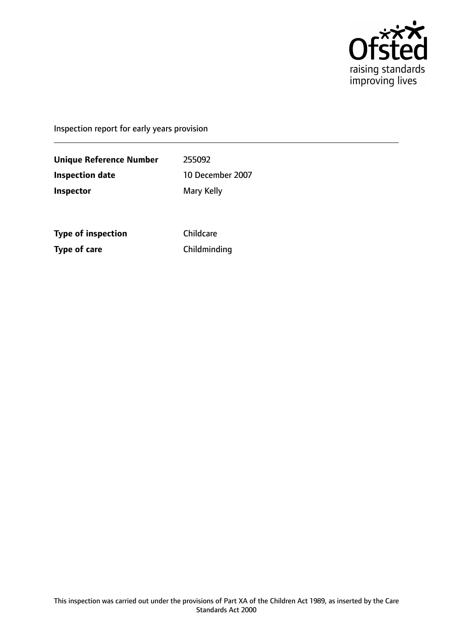

Inspection report for early years provision

**Unique Reference Number** 255092 **Inspection date** 10 December 2007 **Inspector** Mary Kelly

**Type of inspection** Childcare **Type of care** Childminding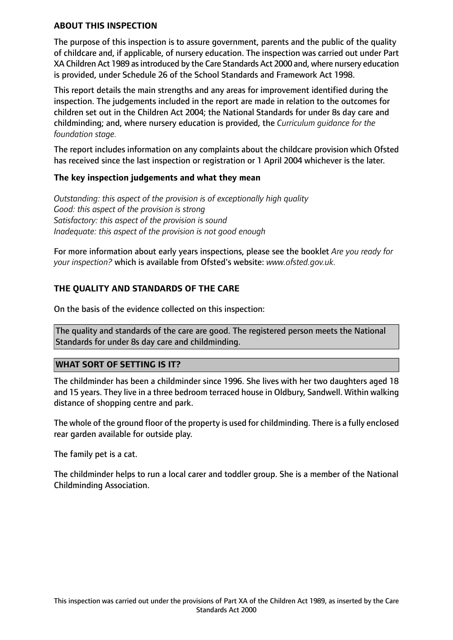### **ABOUT THIS INSPECTION**

The purpose of this inspection is to assure government, parents and the public of the quality of childcare and, if applicable, of nursery education. The inspection was carried out under Part XA Children Act 1989 asintroduced by the Care Standards Act 2000 and, where nursery education is provided, under Schedule 26 of the School Standards and Framework Act 1998.

This report details the main strengths and any areas for improvement identified during the inspection. The judgements included in the report are made in relation to the outcomes for children set out in the Children Act 2004; the National Standards for under 8s day care and childminding; and, where nursery education is provided, the *Curriculum guidance for the foundation stage.*

The report includes information on any complaints about the childcare provision which Ofsted has received since the last inspection or registration or 1 April 2004 whichever is the later.

### **The key inspection judgements and what they mean**

*Outstanding: this aspect of the provision is of exceptionally high quality Good: this aspect of the provision is strong Satisfactory: this aspect of the provision is sound Inadequate: this aspect of the provision is not good enough*

For more information about early years inspections, please see the booklet *Are you ready for your inspection?* which is available from Ofsted's website: *www.ofsted.gov.uk.*

## **THE QUALITY AND STANDARDS OF THE CARE**

On the basis of the evidence collected on this inspection:

The quality and standards of the care are good. The registered person meets the National Standards for under 8s day care and childminding.

#### **WHAT SORT OF SETTING IS IT?**

The childminder has been a childminder since 1996. She lives with her two daughters aged 18 and 15 years. They live in a three bedroom terraced house in Oldbury, Sandwell. Within walking distance of shopping centre and park.

The whole of the ground floor of the property is used for childminding. There is a fully enclosed rear garden available for outside play.

The family pet is a cat.

The childminder helps to run a local carer and toddler group. She is a member of the National Childminding Association.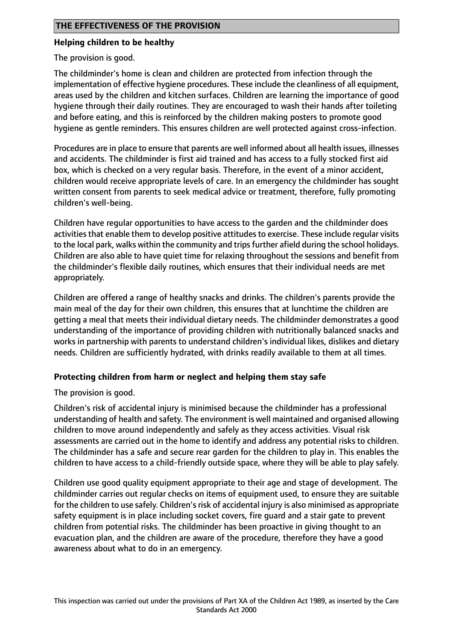## **Helping children to be healthy**

The provision is good.

The childminder's home is clean and children are protected from infection through the implementation of effective hygiene procedures. These include the cleanliness of all equipment, areas used by the children and kitchen surfaces. Children are learning the importance of good hygiene through their daily routines. They are encouraged to wash their hands after toileting and before eating, and this is reinforced by the children making posters to promote good hygiene as gentle reminders. This ensures children are well protected against cross-infection.

Procedures are in place to ensure that parents are well informed about all health issues, illnesses and accidents. The childminder is first aid trained and has access to a fully stocked first aid box, which is checked on a very regular basis. Therefore, in the event of a minor accident, children would receive appropriate levels of care. In an emergency the childminder has sought written consent from parents to seek medical advice or treatment, therefore, fully promoting children's well-being.

Children have regular opportunities to have access to the garden and the childminder does activities that enable them to develop positive attitudes to exercise. These include regular visits to the local park, walks within the community and trips further afield during the school holidays. Children are also able to have quiet time for relaxing throughout the sessions and benefit from the childminder's flexible daily routines, which ensures that their individual needs are met appropriately.

Children are offered a range of healthy snacks and drinks. The children's parents provide the main meal of the day for their own children, this ensures that at lunchtime the children are getting a meal that meets their individual dietary needs. The childminder demonstrates a good understanding of the importance of providing children with nutritionally balanced snacks and works in partnership with parents to understand children's individual likes, dislikes and dietary needs. Children are sufficiently hydrated, with drinks readily available to them at all times.

## **Protecting children from harm or neglect and helping them stay safe**

The provision is good.

Children's risk of accidental injury is minimised because the childminder has a professional understanding of health and safety. The environment is well maintained and organised allowing children to move around independently and safely as they access activities. Visual risk assessments are carried out in the home to identify and address any potential risks to children. The childminder has a safe and secure rear garden for the children to play in. This enables the children to have access to a child-friendly outside space, where they will be able to play safely.

Children use good quality equipment appropriate to their age and stage of development. The childminder carries out regular checks on items of equipment used, to ensure they are suitable for the children to use safely. Children's risk of accidental injury is also minimised as appropriate safety equipment is in place including socket covers, fire guard and a stair gate to prevent children from potential risks. The childminder has been proactive in giving thought to an evacuation plan, and the children are aware of the procedure, therefore they have a good awareness about what to do in an emergency.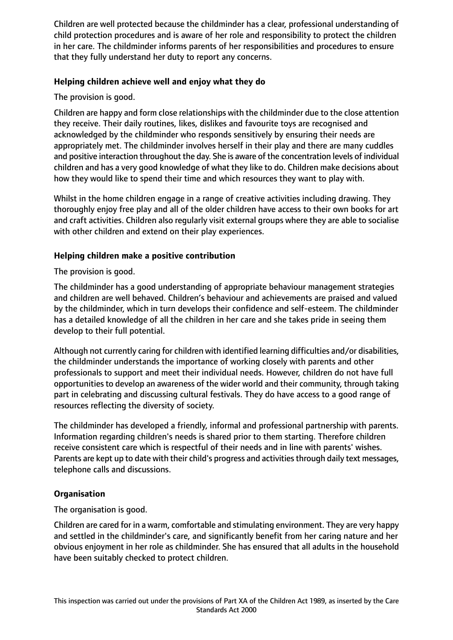Children are well protected because the childminder has a clear, professional understanding of child protection procedures and is aware of her role and responsibility to protect the children in her care. The childminder informs parents of her responsibilities and procedures to ensure that they fully understand her duty to report any concerns.

# **Helping children achieve well and enjoy what they do**

The provision is good.

Children are happy and form close relationships with the childminder due to the close attention they receive. Their daily routines, likes, dislikes and favourite toys are recognised and acknowledged by the childminder who responds sensitively by ensuring their needs are appropriately met. The childminder involves herself in their play and there are many cuddles and positive interaction throughout the day. She is aware of the concentration levels of individual children and has a very good knowledge of what they like to do. Children make decisions about how they would like to spend their time and which resources they want to play with.

Whilst in the home children engage in a range of creative activities including drawing. They thoroughly enjoy free play and all of the older children have access to their own books for art and craft activities. Children also regularly visit external groups where they are able to socialise with other children and extend on their play experiences.

# **Helping children make a positive contribution**

The provision is good.

The childminder has a good understanding of appropriate behaviour management strategies and children are well behaved. Children's behaviour and achievements are praised and valued by the childminder, which in turn develops their confidence and self-esteem. The childminder has a detailed knowledge of all the children in her care and she takes pride in seeing them develop to their full potential.

Although not currently caring for children with identified learning difficulties and/or disabilities, the childminder understands the importance of working closely with parents and other professionals to support and meet their individual needs. However, children do not have full opportunities to develop an awareness of the wider world and their community, through taking part in celebrating and discussing cultural festivals. They do have access to a good range of resources reflecting the diversity of society.

The childminder has developed a friendly, informal and professional partnership with parents. Information regarding children's needs is shared prior to them starting. Therefore children receive consistent care which is respectful of their needs and in line with parents' wishes. Parents are kept up to date with their child's progress and activities through daily text messages, telephone calls and discussions.

## **Organisation**

The organisation is good.

Children are cared for in a warm, comfortable and stimulating environment. They are very happy and settled in the childminder's care, and significantly benefit from her caring nature and her obvious enjoyment in her role as childminder. She has ensured that all adults in the household have been suitably checked to protect children.